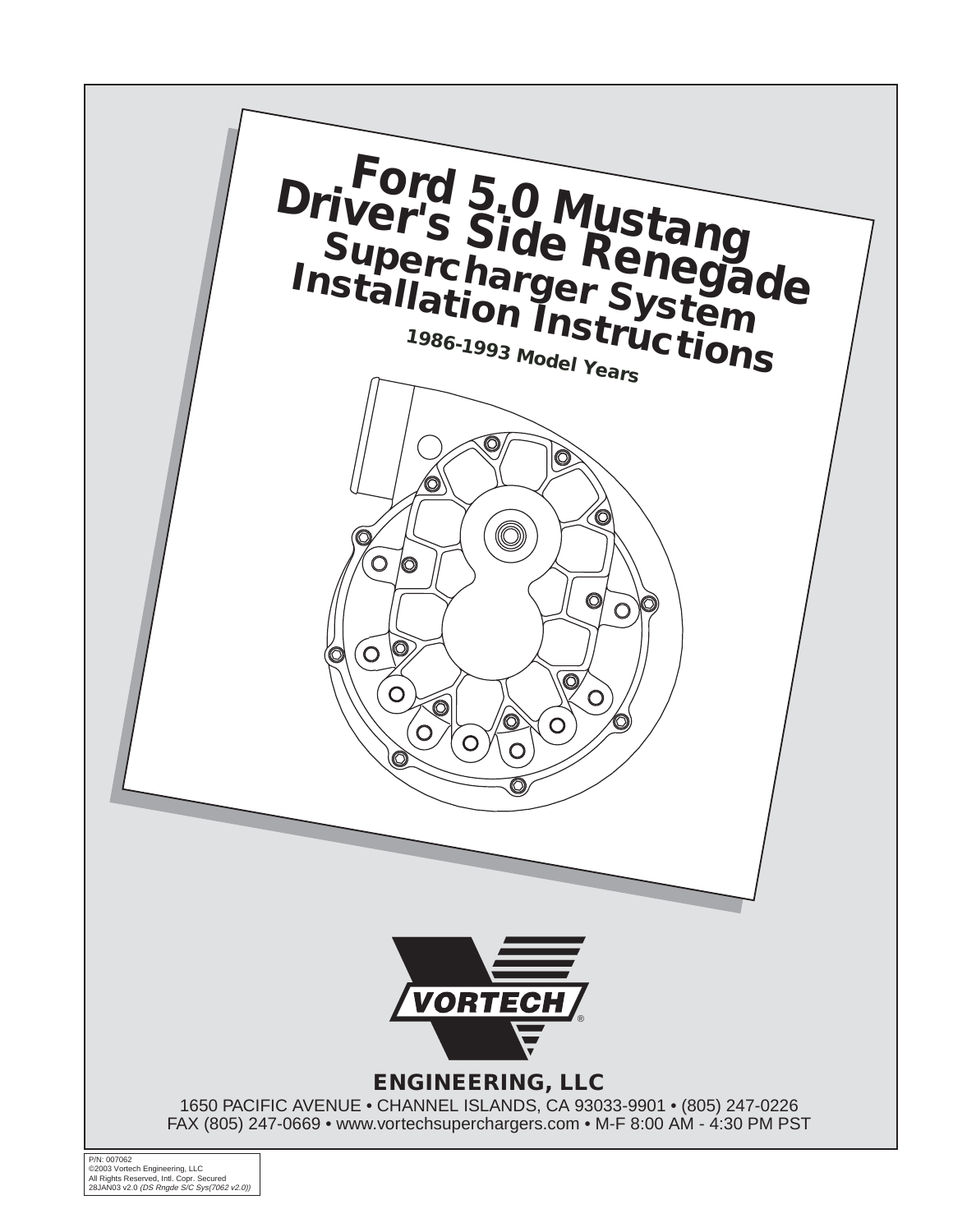

©2003 Vortech Engineering, LLC<br>All Rights Reserved, Intl. Copr. Secured<br>28JAN03 v2.0 *(DS Rngde S/C Sys(7062 v2.0))*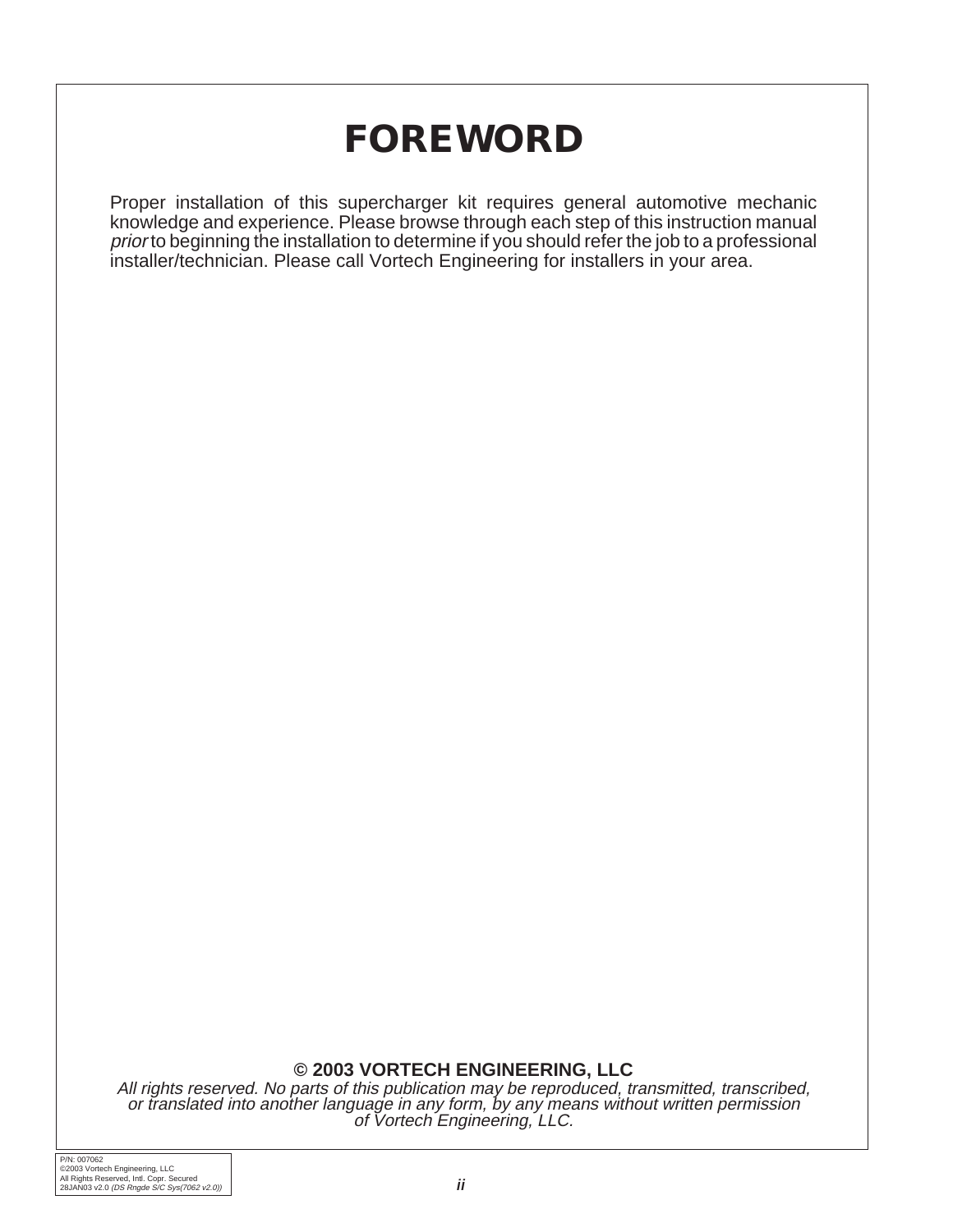## **FOREWORD**

Proper installation of this supercharger kit requires general automotive mechanic knowledge and experience. Please browse through each step of this instruction manual prior to beginning the installation to determine if you should refer the job to a professional installer/technician. Please call Vortech Engineering for installers in your area.

#### **© 2003 VORTECH ENGINEERING, LLC**

All rights reserved. No parts of this publication may be reproduced, transmitted, transcribed, or translated into another language in any form, by any means without written permission of Vortech Engineering, LLC.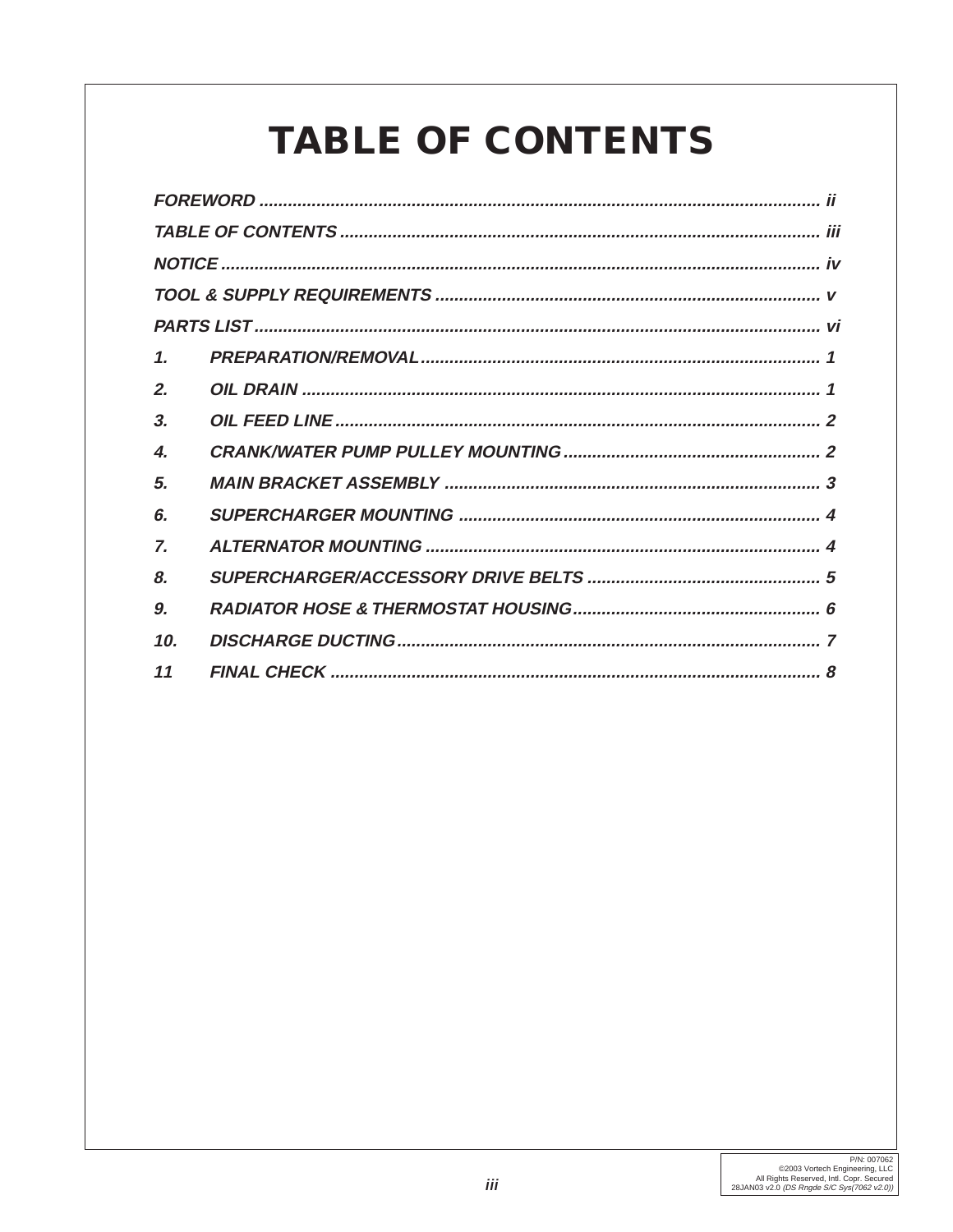# **TABLE OF CONTENTS**

| $\mathbf{1}$       |  |  |  |  |  |
|--------------------|--|--|--|--|--|
| 2.                 |  |  |  |  |  |
| 3.                 |  |  |  |  |  |
| $\boldsymbol{4}$ . |  |  |  |  |  |
| 5.                 |  |  |  |  |  |
| 6.                 |  |  |  |  |  |
| 7.                 |  |  |  |  |  |
| 8.                 |  |  |  |  |  |
| 9.                 |  |  |  |  |  |
| 10.                |  |  |  |  |  |
| 11                 |  |  |  |  |  |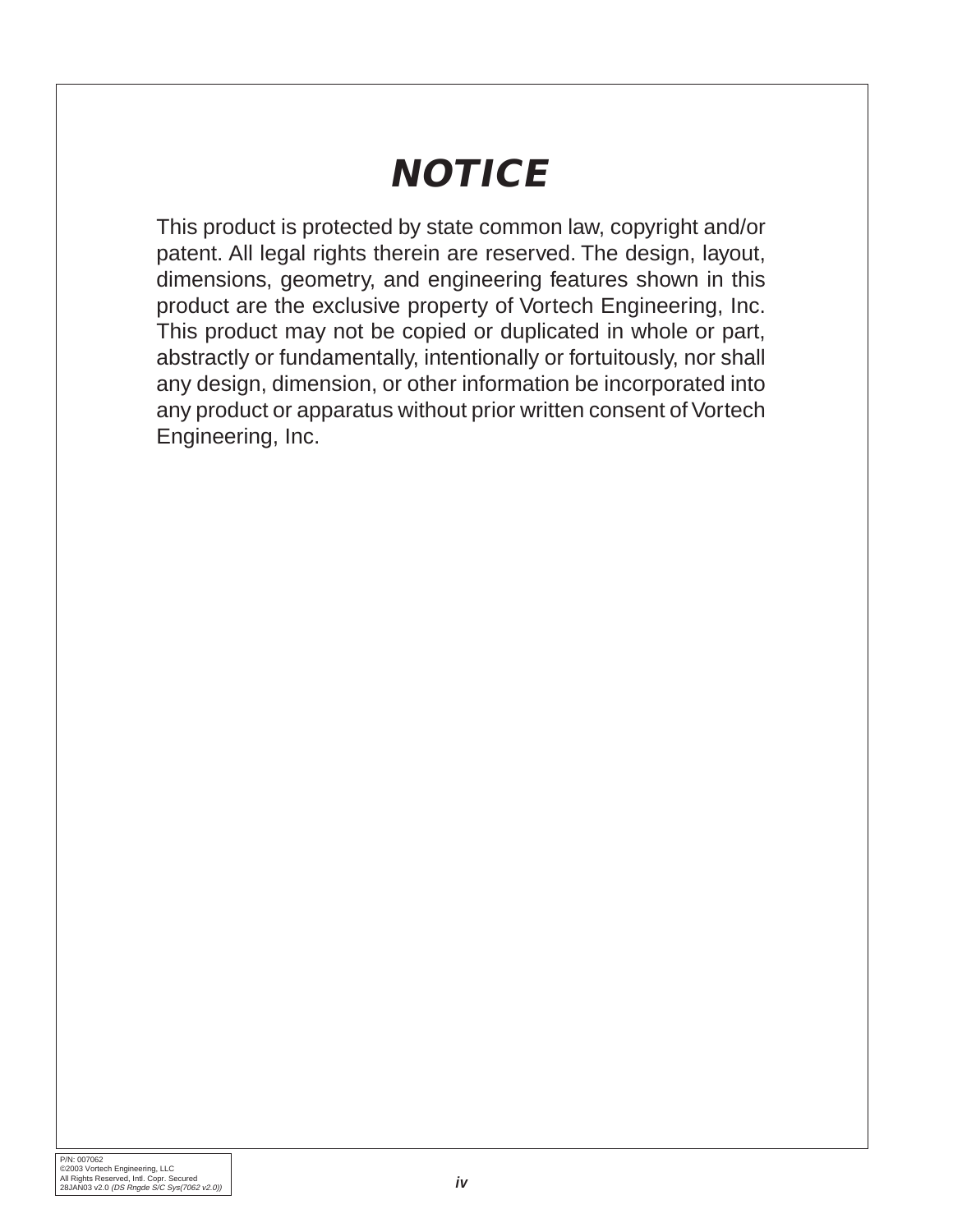# **NOTICE**

This product is protected by state common law, copyright and/or patent. All legal rights therein are reserved. The design, layout, dimensions, geometry, and engineering features shown in this product are the exclusive property of Vortech Engineering, Inc. This product may not be copied or duplicated in whole or part, abstractly or fundamentally, intentionally or fortuitously, nor shall any design, dimension, or other information be incorporated into any product or apparatus without prior written consent of Vortech Engineering, Inc.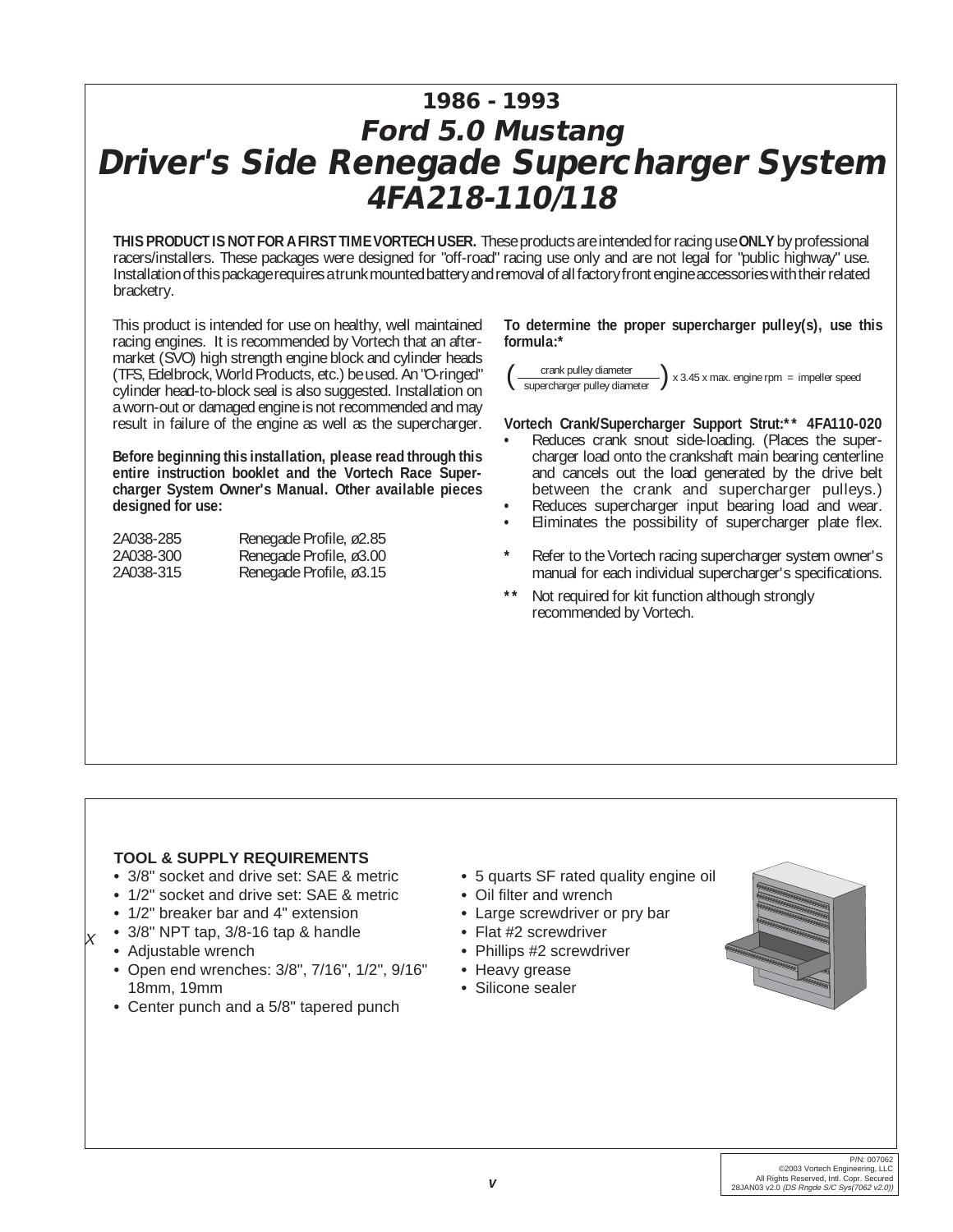## **1986 - 1993 Ford 5.0 Mustang Driver's Side Renegade Supercharger System 4FA218-110/118**

**THIS PRODUCT IS NOT FOR A FIRST TIME VORTECH USER.** These products are intended for racing use **ONLY** by professional racers/installers. These packages were designed for "off-road" racing use only and are not legal for "public highway" use. Installation of this package requires a trunk mounted battery and removal of all factory front engine accessories with their related bracketry.

This product is intended for use on healthy, well maintained racing engines. It is recommended by Vortech that an aftermarket (SVO) high strength engine block and cylinder heads (TFS, Edelbrock, World Products, etc.) be used. An "O-ringed" cylinder head-to-block seal is also suggested. Installation on a worn-out or damaged engine is not recommended and may result in failure of the engine as well as the supercharger.

**Before beginning this installation, please read through this entire instruction booklet and the Vortech Race Supercharger System Owner's Manual. Other available pieces designed for use:**

| 2A038-285 | Renegade Profile, ø2.85 |
|-----------|-------------------------|
| 2A038-300 | Renegade Profile, ø3.00 |
| 2A038-315 | Renegade Profile, ø3.15 |

**To determine the proper supercharger pulley(s), use this formula:\***

 $\frac{1}{\sqrt{2\pi}}$  crank pulley diameter  $\sqrt{2 \times 3.45 \times 2.45}$  x max. engine rpm = impeller speed supercharger pulley diameter

#### **Vortech Crank/Supercharger Support Strut:\*\* 4FA110-020**

- **•** Reduces crank snout side-loading. (Places the supercharger load onto the crankshaft main bearing centerline and cancels out the load generated by the drive belt between the crank and supercharger pulleys.)
- Reduces supercharger input bearing load and wear.
- **•** Eliminates the possibility of supercharger plate flex.
- **\*** Refer to the Vortech racing supercharger system owner's manual for each individual supercharger's specifications.
- Not required for kit function although strongly recommended by Vortech.

#### **TOOL & SUPPLY REQUIREMENTS**

- **•** 3/8" socket and drive set: SAE & metric
- **•** 1/2" socket and drive set: SAE & metric
- **•** 1/2" breaker bar and 4" extension
- **•** 3/8" NPT tap, 3/8-16 tap & handle
- **•** Adjustable wrench

X

- **•** Open end wrenches: 3/8", 7/16", 1/2", 9/16" 18mm, 19mm
- **•** Center punch and a 5/8" tapered punch
- **•** 5 quarts SF rated quality engine oil
- **•** Oil filter and wrench
- **•** Large screwdriver or pry bar
- **•** Flat #2 screwdriver
- **•** Phillips #2 screwdriver
- **•** Heavy grease
- **•** Silicone sealer

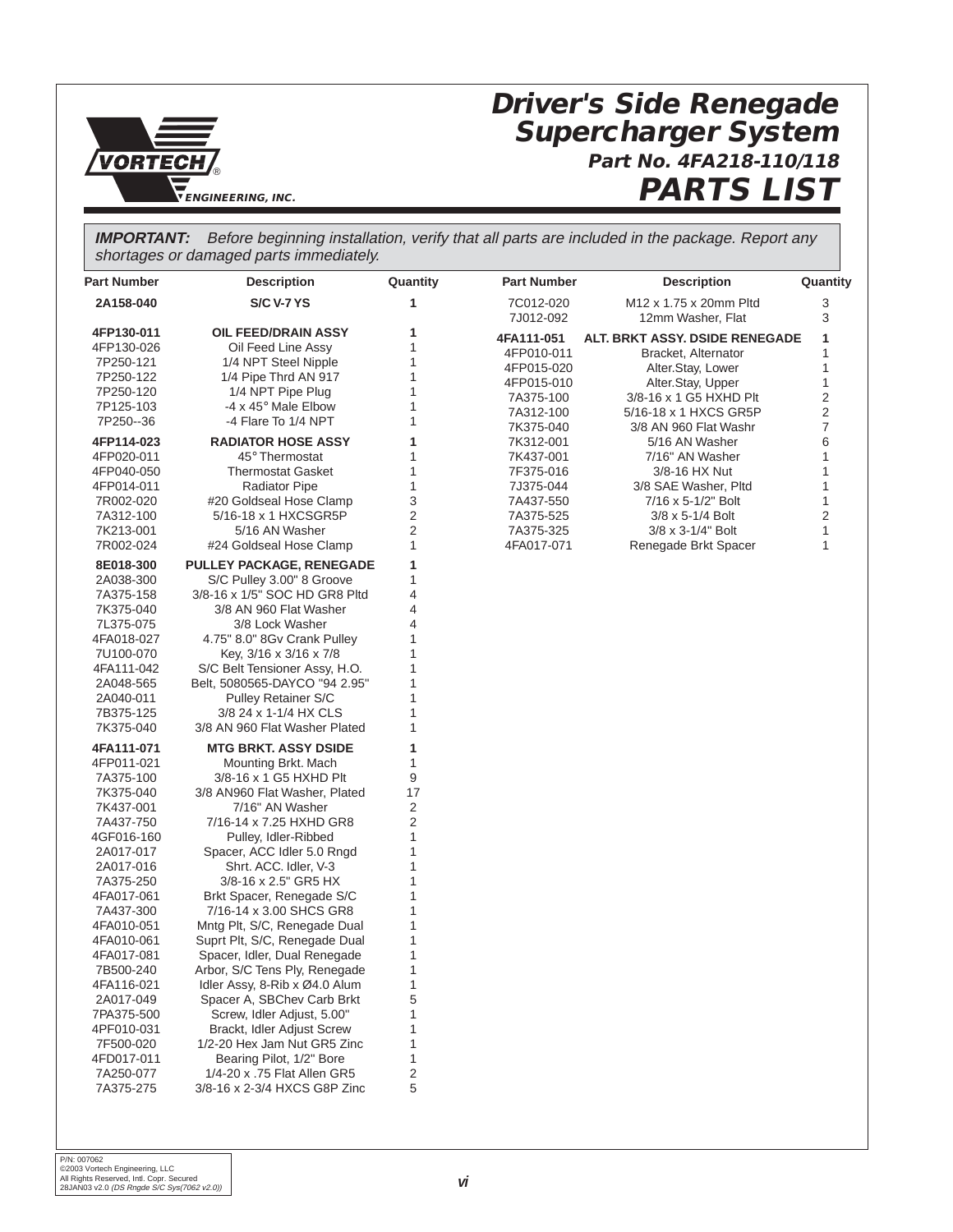

## **Driver's Side Renegade Supercharger System Part No. 4FA218-110/118 PARTS LIST**

**IMPORTANT:** Before beginning installation, verify that all parts are included in the package. Report any shortages or damaged parts immediately.

| <b>Part Number</b>      | <b>Description</b>                                          | Quantity       | <b>Part Number</b>     | <b>Description</b>                          | Quantity |
|-------------------------|-------------------------------------------------------------|----------------|------------------------|---------------------------------------------|----------|
| 2A158-040               | <b>S/C V-7 YS</b>                                           | 1              | 7C012-020<br>7J012-092 | M12 x 1.75 x 20mm Pltd<br>12mm Washer, Flat | 3<br>3   |
| 4FP130-011              | <b>OIL FEED/DRAIN ASSY</b>                                  | 1              | 4FA111-051             | <b>ALT. BRKT ASSY. DSIDE RENEGADE</b>       | 1        |
| 4FP130-026              | Oil Feed Line Assy                                          | 1              | 4FP010-011             | Bracket, Alternator                         | 1        |
| 7P250-121               | 1/4 NPT Steel Nipple                                        | 1              | 4FP015-020             | Alter.Stay, Lower                           | 1        |
| 7P250-122               | 1/4 Pipe Thrd AN 917                                        | 1              | 4FP015-010             | Alter.Stay, Upper                           | 1        |
| 7P250-120               | 1/4 NPT Pipe Plug                                           | 1              | 7A375-100              | 3/8-16 x 1 G5 HXHD Plt                      | 2        |
| 7P125-103               | -4 x 45° Male Elbow                                         | 1              | 7A312-100              | 5/16-18 x 1 HXCS GR5P                       | 2        |
| 7P250--36               | -4 Flare To 1/4 NPT                                         | 1              | 7K375-040              | 3/8 AN 960 Flat Washr                       | 7        |
| 4FP114-023              | <b>RADIATOR HOSE ASSY</b>                                   | 1              | 7K312-001              | 5/16 AN Washer                              | 6        |
| 4FP020-011              | 45° Thermostat                                              | 1              | 7K437-001              | 7/16" AN Washer                             | 1        |
| 4FP040-050              | <b>Thermostat Gasket</b>                                    | 1              | 7F375-016              | 3/8-16 HX Nut                               | 1        |
| 4FP014-011              | <b>Radiator Pipe</b>                                        | 1              | 7J375-044              | 3/8 SAE Washer, Pltd                        | 1        |
| 7R002-020               | #20 Goldseal Hose Clamp                                     | 3              | 7A437-550              | 7/16 x 5-1/2" Bolt                          | 1        |
| 7A312-100               | 5/16-18 x 1 HXCSGR5P                                        | 2              | 7A375-525              | $3/8 \times 5 - 1/4$ Bolt                   | 2        |
| 7K213-001               | 5/16 AN Washer                                              | $\overline{2}$ | 7A375-325              | 3/8 x 3-1/4" Bolt                           | 1        |
| 7R002-024               | #24 Goldseal Hose Clamp                                     | 1              | 4FA017-071             | Renegade Brkt Spacer                        | 1        |
|                         |                                                             |                |                        |                                             |          |
| 8E018-300               | <b>PULLEY PACKAGE, RENEGADE</b>                             | 1              |                        |                                             |          |
| 2A038-300               | S/C Pulley 3.00" 8 Groove                                   | 1              |                        |                                             |          |
| 7A375-158               | 3/8-16 x 1/5" SOC HD GR8 Pltd                               | 4              |                        |                                             |          |
| 7K375-040               | 3/8 AN 960 Flat Washer                                      | 4              |                        |                                             |          |
| 7L375-075               | 3/8 Lock Washer                                             | 4              |                        |                                             |          |
| 4FA018-027              | 4.75" 8.0" 8Gv Crank Pulley                                 | 1              |                        |                                             |          |
| 7U100-070               | Key, 3/16 x 3/16 x 7/8                                      | 1<br>1         |                        |                                             |          |
| 4FA111-042              | S/C Belt Tensioner Assy, H.O.                               | 1              |                        |                                             |          |
| 2A048-565               | Belt, 5080565-DAYCO "94 2.95"                               | 1              |                        |                                             |          |
| 2A040-011<br>7B375-125  | <b>Pulley Retainer S/C</b><br>3/8 24 x 1-1/4 HX CLS         | 1              |                        |                                             |          |
|                         |                                                             | 1              |                        |                                             |          |
| 7K375-040               | 3/8 AN 960 Flat Washer Plated                               |                |                        |                                             |          |
| 4FA111-071              | <b>MTG BRKT. ASSY DSIDE</b>                                 | 1              |                        |                                             |          |
| 4FP011-021              | Mounting Brkt. Mach                                         | 1              |                        |                                             |          |
| 7A375-100               | 3/8-16 x 1 G5 HXHD Plt                                      | 9              |                        |                                             |          |
| 7K375-040               | 3/8 AN960 Flat Washer, Plated                               | 17             |                        |                                             |          |
| 7K437-001               | 7/16" AN Washer                                             | 2              |                        |                                             |          |
| 7A437-750               | 7/16-14 x 7.25 HXHD GR8                                     | $\overline{2}$ |                        |                                             |          |
| 4GF016-160              | Pulley, Idler-Ribbed                                        | 1              |                        |                                             |          |
| 2A017-017               | Spacer, ACC Idler 5.0 Rngd                                  | 1              |                        |                                             |          |
| 2A017-016               | Shrt. ACC. Idler, V-3                                       | 1              |                        |                                             |          |
| 7A375-250               | 3/8-16 x 2.5" GR5 HX                                        | 1              |                        |                                             |          |
| 4FA017-061              | Brkt Spacer, Renegade S/C                                   | 1              |                        |                                             |          |
| 7A437-300               | 7/16-14 x 3.00 SHCS GR8                                     | 1              |                        |                                             |          |
| 4FA010-051              | Mntg Plt, S/C, Renegade Dual                                | 1              |                        |                                             |          |
| 4FA010-061              | Suprt Plt, S/C, Renegade Dual                               | 1              |                        |                                             |          |
| 4FA017-081              | Spacer, Idler, Dual Renegade                                | 1              |                        |                                             |          |
| 7B500-240               | Arbor, S/C Tens Ply, Renegade                               | 1              |                        |                                             |          |
| 4FA116-021<br>2A017-049 | Idler Assy, 8-Rib x Ø4.0 Alum<br>Spacer A, SBChev Carb Brkt | 1<br>5         |                        |                                             |          |
| 7PA375-500              | Screw, Idler Adjust, 5.00"                                  | 1              |                        |                                             |          |
| 4PF010-031              | Brackt, Idler Adjust Screw                                  | 1              |                        |                                             |          |
|                         | 1/2-20 Hex Jam Nut GR5 Zinc                                 | 1              |                        |                                             |          |
| 7F500-020               |                                                             | 1              |                        |                                             |          |
| 4FD017-011<br>7A250-077 | Bearing Pilot, 1/2" Bore<br>1/4-20 x .75 Flat Allen GR5     | $\overline{c}$ |                        |                                             |          |
|                         | 3/8-16 x 2-3/4 HXCS G8P Zinc                                | 5              |                        |                                             |          |
| 7A375-275               |                                                             |                |                        |                                             |          |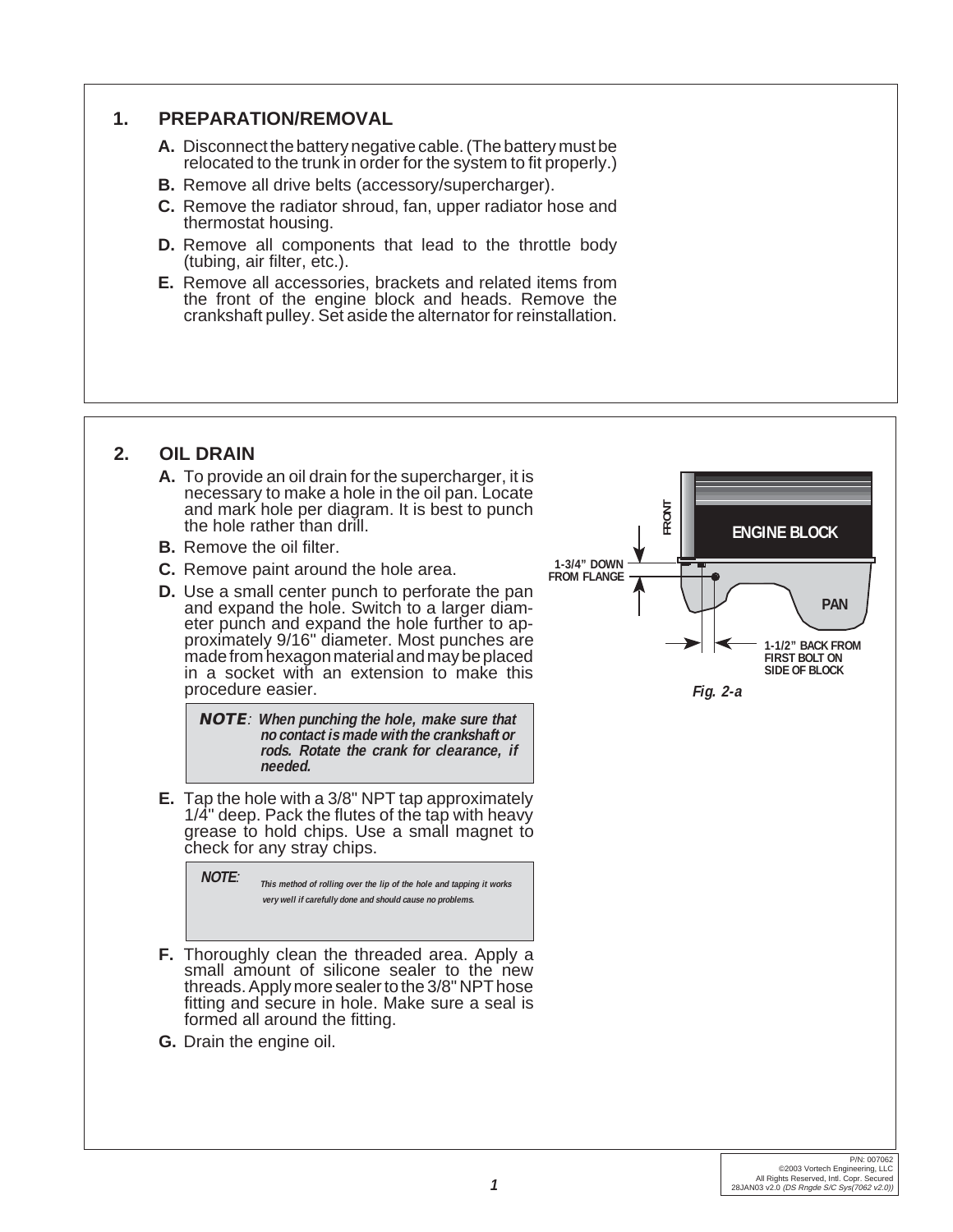#### **1. PREPARATION/REMOVAL**

- **A.** Disconnect the battery negative cable. (The battery must be relocated to the trunk in order for the system to fit properly.)
- **B.** Remove all drive belts (accessory/supercharger).
- **C.** Remove the radiator shroud, fan, upper radiator hose and thermostat housing.
- **D.** Remove all components that lead to the throttle body (tubing, air filter, etc.).
- **E.** Remove all accessories, brackets and related items from the front of the engine block and heads. Remove the crankshaft pulley. Set aside the alternator for reinstallation.

#### **2. OIL DRAIN**

- **A.** To provide an oil drain for the supercharger, it is necessary to make a hole in the oil pan. Locate and mark hole per diagram. It is best to punch the hole rather than drill.
- **B.** Remove the oil filter.
- **C.** Remove paint around the hole area.
- **D.** Use a small center punch to perforate the pan and expand the hole. Switch to a larger diameter punch and expand the hole further to approximately 9/16" diameter. Most punches are made from hexagon material and may be placed in a socket with an extension to make this procedure easier.

**NOTE**: **When punching the hole, make sure that no contact is made with the crankshaft or rods. Rotate the crank for clearance, if needed.**

**E.** Tap the hole with a 3/8" NPT tap approximately 1/4" deep. Pack the flutes of the tap with heavy grease to hold chips. Use a small magnet to check for any stray chips.



- **F.** Thoroughly clean the threaded area. Apply a small amount of silicone sealer to the new threads. Apply more sealer to the 3/8" NPT hose fitting and secure in hole. Make sure a seal is formed all around the fitting.
- **G.** Drain the engine oil.

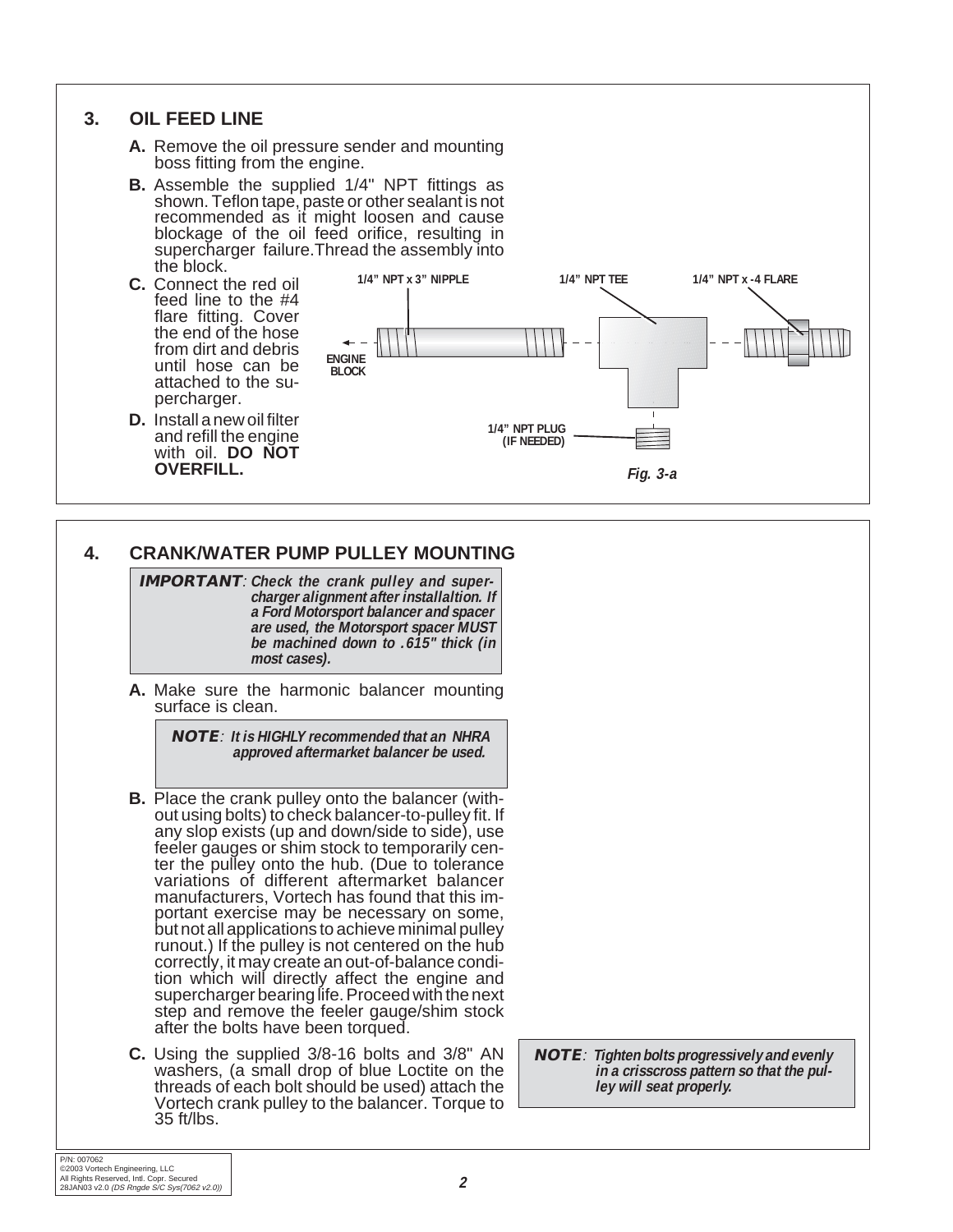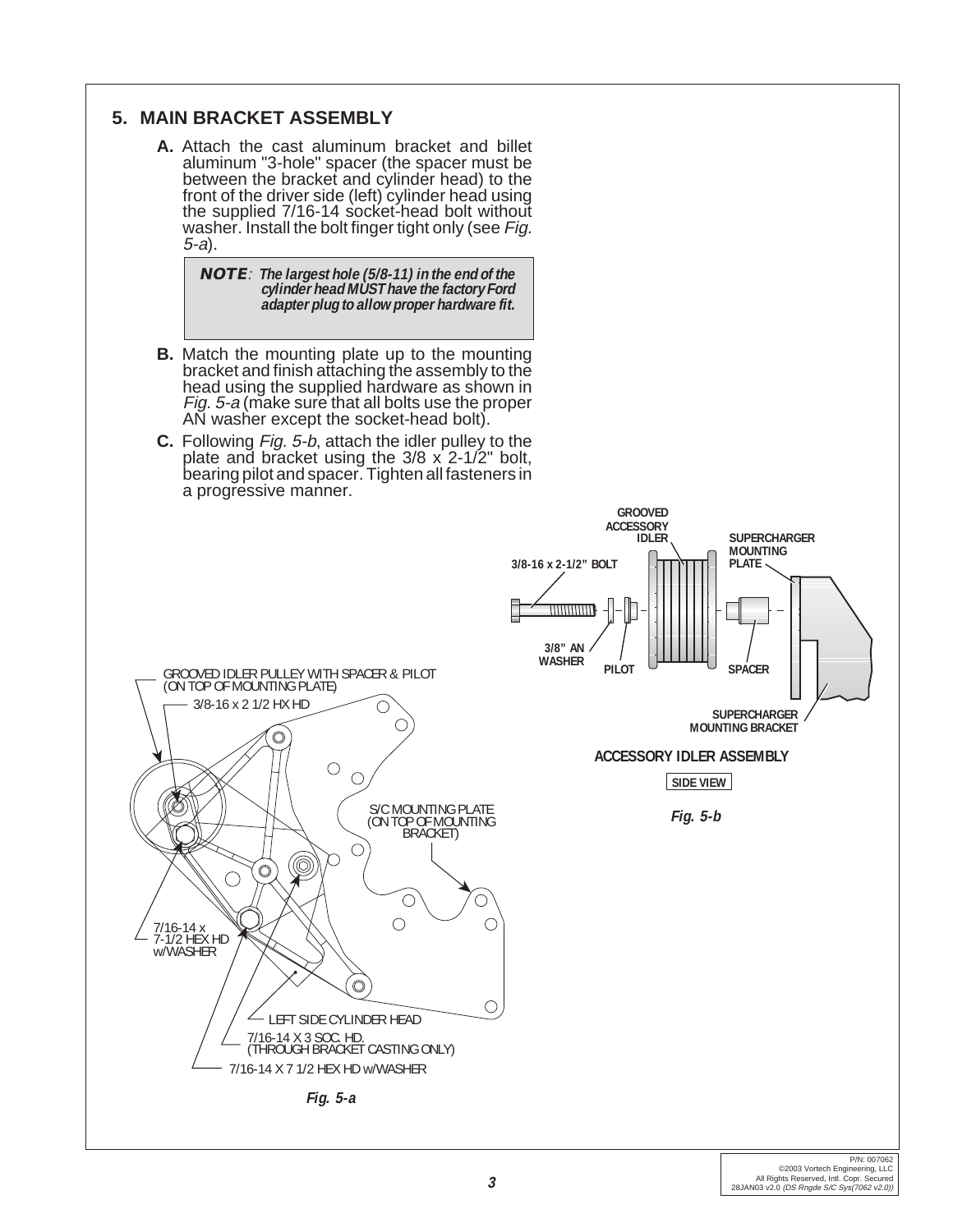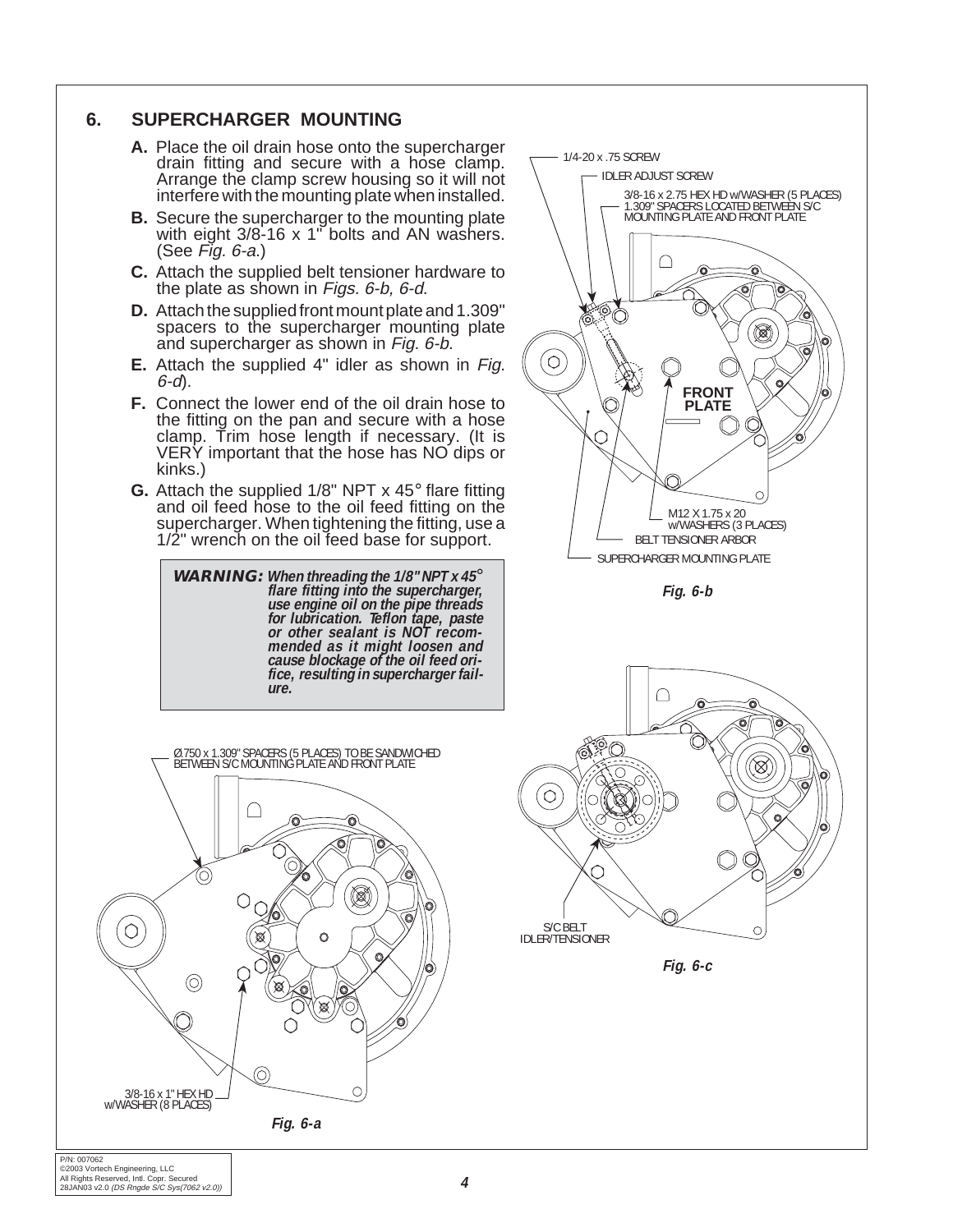#### **6. SUPERCHARGER MOUNTING**

- **A.** Place the oil drain hose onto the supercharger drain fitting and secure with a hose clamp. Arrange the clamp screw housing so it will not interfere with the mounting plate when installed.
- **B.** Secure the supercharger to the mounting plate with eight 3/8-16 x 1" bolts and AN washers. (See Fig. 6-a.)
- **C.** Attach the supplied belt tensioner hardware to the plate as shown in Figs. 6-b, 6-d.
- **D.** Attach the supplied front mount plate and 1.309" spacers to the supercharger mounting plate and supercharger as shown in Fig. 6-b.
- **E.** Attach the supplied 4" idler as shown in Fig. 6-d).
- **F.** Connect the lower end of the oil drain hose to the fitting on the pan and secure with a hose clamp. Trim hose length if necessary. (It is VERY important that the hose has NO dips or kinks.)
- **G.** Attach the supplied 1/8" NPT x 45° flare fitting and oil feed hose to the oil feed fitting on the supercharger. When tightening the fitting, use a 1/2" wrench on the oil feed base for support.

**WARNING:** When threading the 1/8" NPT x 45° flare fitting into the supercharger,<br>use engine oil on the pipe threads **for lubrication. Teflon tape, paste or other sealant is NOT recommended as it might loosen and cause blockage of the oil feed orifice, resulting in supercharger failure.**



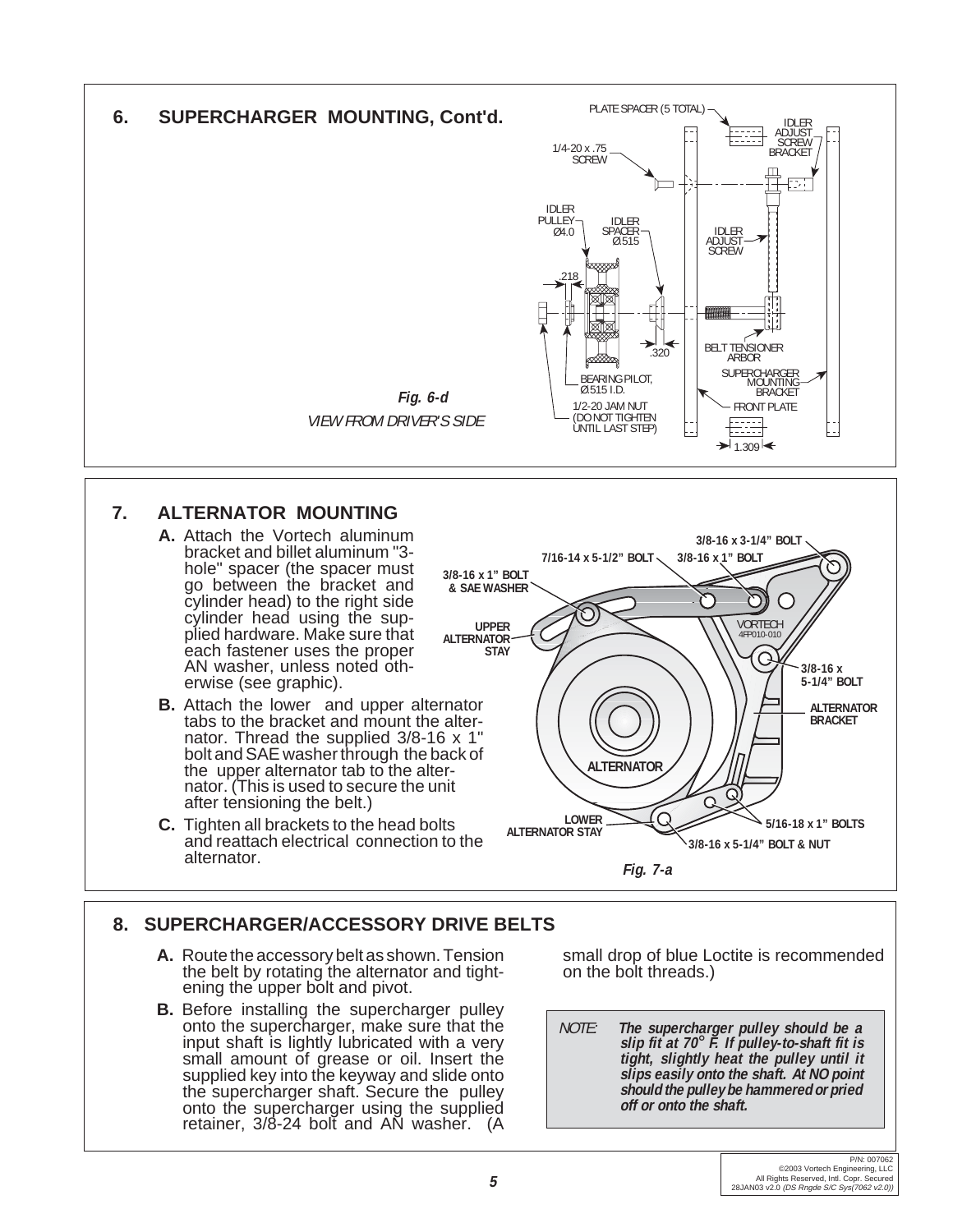

### **7. ALTERNATOR MOUNTING**

- **A.** Attach the Vortech aluminum bracket and billet aluminum "3 hole" spacer (the spacer must go between the bracket and cylinder head) to the right side cylinder head using the supplied hardware. Make sure that each fastener uses the proper AN washer, unless noted otherwise (see graphic).
- **B.** Attach the lower and upper alternator tabs to the bracket and mount the alternator. Thread the supplied 3/8-16 x 1" bolt and SAE washer through the back of the upper alternator tab to the alternator. (This is used to secure the unit after tensioning the belt.)
- **C.** Tighten all brackets to the head bolts and reattach electrical connection to the alternator.



### **8. SUPERCHARGER/ACCESSORY DRIVE BELTS**

- **A.** Route the accessory belt as shown. Tension the belt by rotating the alternator and tightening the upper bolt and pivot.
- **B.** Before installing the supercharger pulley onto the supercharger, make sure that the input shaft is lightly lubricated with a very small amount of grease or oil. Insert the supplied key into the keyway and slide onto the supercharger shaft. Secure the pulley onto the supercharger using the supplied retainer, 3/8-24 bolt and AN washer. (A

small drop of blue Loctite is recommended on the bolt threads.)

NOTE: **The supercharger pulley should be a slip fit at 70**° **F. If pulley-to-shaft fit is tight, slightly heat the pulley until it slips easily onto the shaft. At NO point should the pulley be hammered or pried off or onto the shaft.**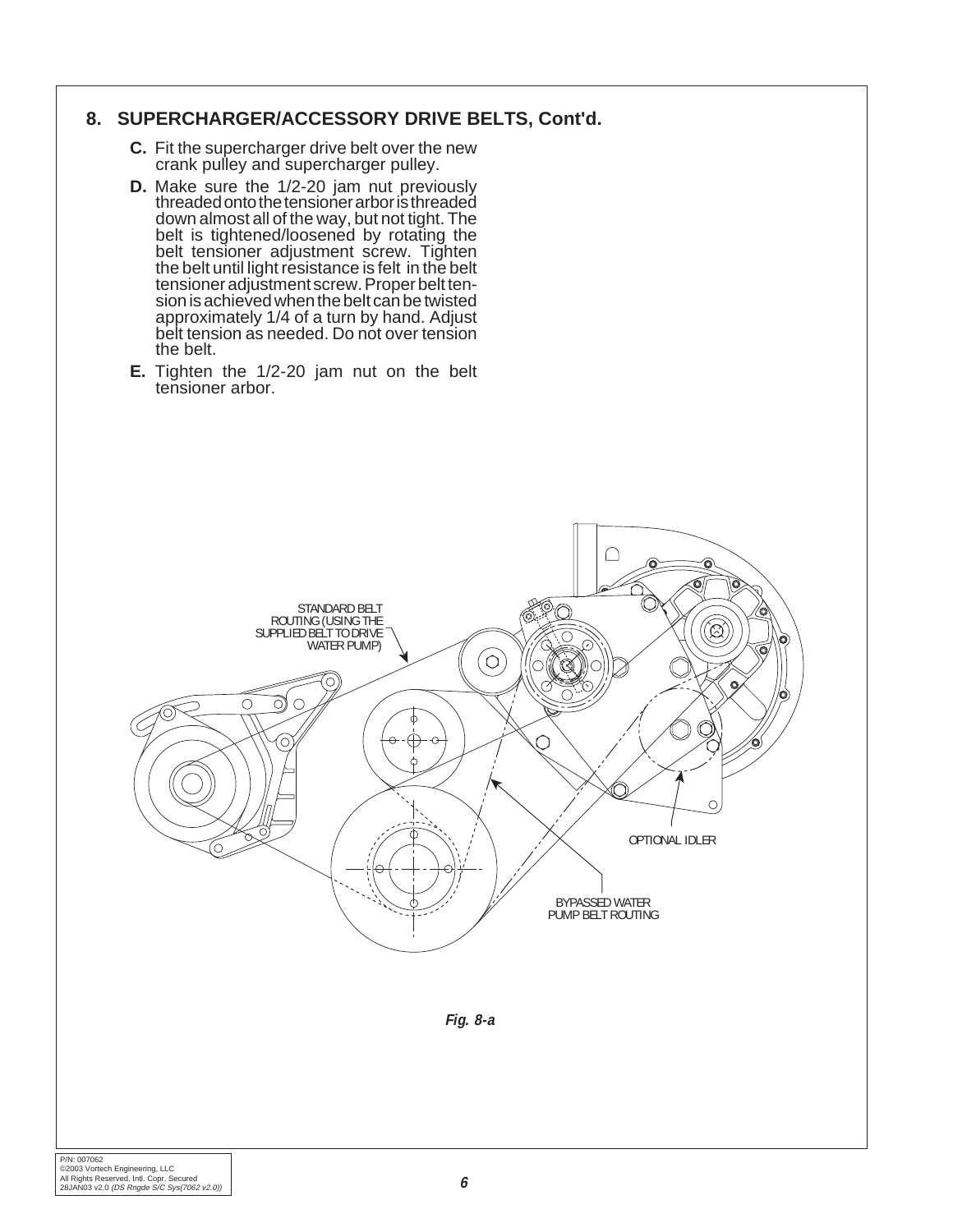#### **8. SUPERCHARGER/ACCESSORY DRIVE BELTS, Cont'd.**

- **C.** Fit the supercharger drive belt over the new crank pulley and supercharger pulley.
- **D.** Make sure the 1/2-20 jam nut previously threaded onto the tensioner arbor is threaded down almost all of the way, but not tight. The belt is tightened/loosened by rotating the belt tensioner adjustment screw. Tighten the belt until light resistance is felt in the belt tensioner adjustment screw. Proper belt tension is achieved when the belt can be twisted approximately 1/4 of a turn by hand. Adjust belt tension as needed. Do not over tension the belt.
- **E.** Tighten the 1/2-20 jam nut on the belt tensioner arbor.



**Fig. 8-a**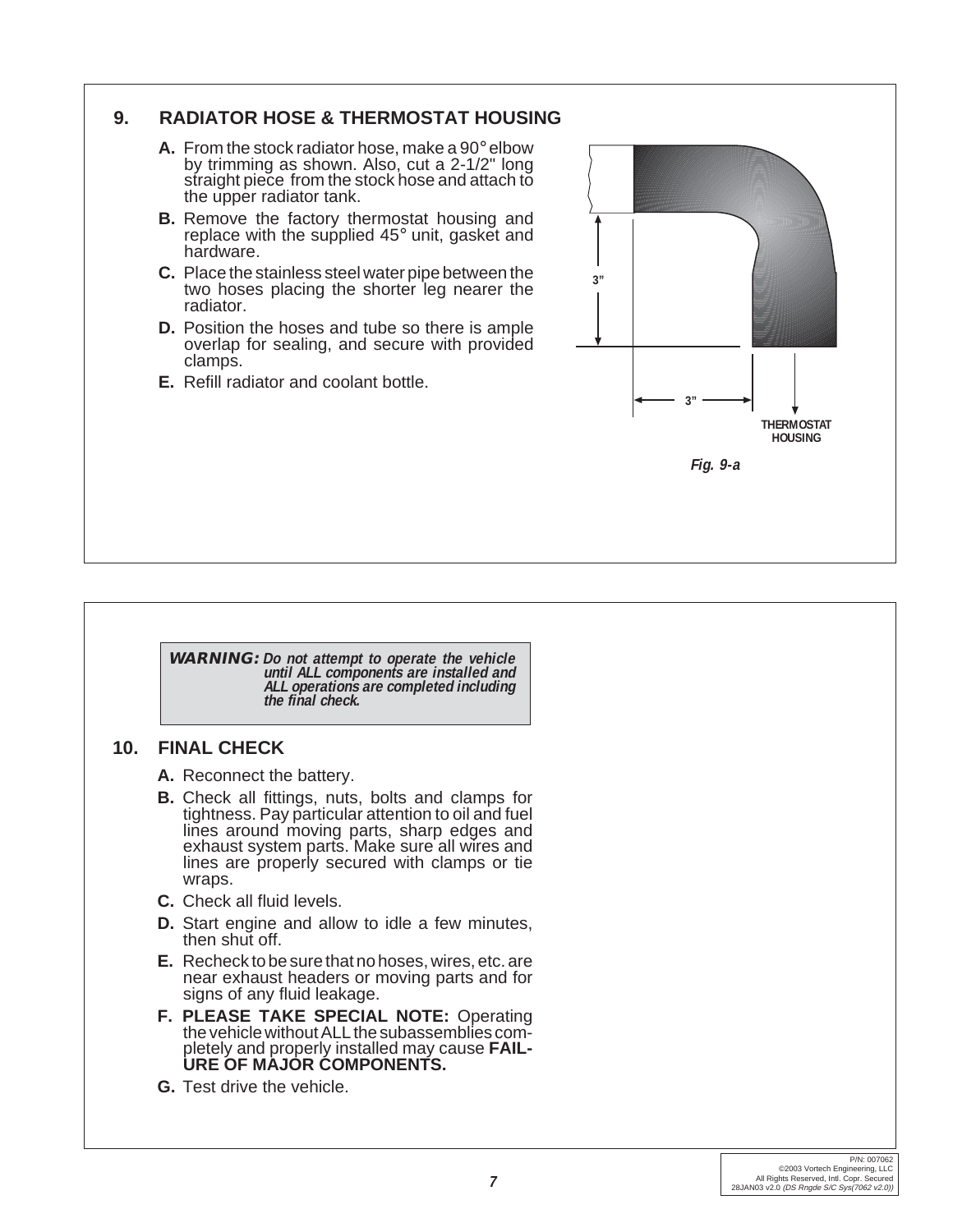

**WARNING: Do not attempt to operate the vehicle until ALL components are installed and ALL operations are completed including the final check.**

#### **10. FINAL CHECK**

- **A.** Reconnect the battery.
- **B.** Check all fittings, nuts, bolts and clamps for tightness. Pay particular attention to oil and fuel lines around moving parts, sharp edges and exhaust system parts. Make sure all wires and lines are properly secured with clamps or tie wraps.
- **C.** Check all fluid levels.
- **D.** Start engine and allow to idle a few minutes, then shut off.
- **E.** Recheck to be sure that no hoses, wires, etc. are near exhaust headers or moving parts and for signs of any fluid leakage.
- **F. PLEASE TAKE SPECIAL NOTE:** Operating the vehicle without ALL the subassemblies completely and properly installed may cause **FAIL-URE OF MAJOR COMPONENTS.**
- **G.** Test drive the vehicle.

**Fig. 9-a**

**THERMOSTAT HOUSING**

**3"**